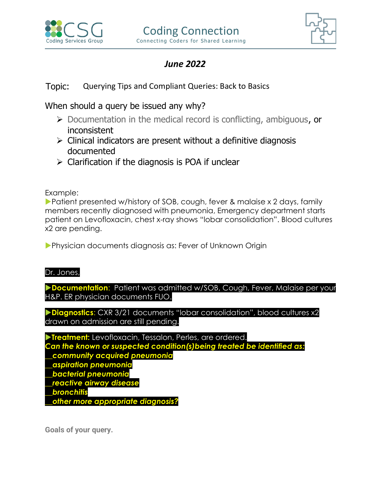



## *June 2022*

## Topic: Querying Tips and Compliant Queries: Back to Basics

When should a query be issued any why?

- ➢ Documentation in the medical record is conflicting, ambiguous, or inconsistent
- $\triangleright$  Clinical indicators are present without a definitive diagnosis documented
- $\triangleright$  Clarification if the diagnosis is POA if unclear

Example:

▶ Patient presented w/history of SOB, cough, fever & malaise x 2 days, family members recently diagnosed with pneumonia, Emergency department starts patient on Levofloxacin, chest x-ray shows "lobar consolidation". Blood cultures x2 are pending.

Physician documents diagnosis as: Fever of Unknown Origin

Dr. Jones,

**Documentation**: Patient was admitted w/SOB, Cough, Fever, Malaise per your H&P. ER physician documents FUO.

**Diagnostics**: CXR 3/21 documents "lobar consolidation", blood cultures x2 drawn on admission are still pending.

**Treatment:** Levofloxacin, Tessalon, Perles, are ordered. *Can the known or suspected condition(s)being treated be identified as: \_\_community acquired pneumonia \_\_aspiration pneumonia \_\_bacterial pneumonia \_\_reactive airway disease \_\_bronchitis \_\_other more appropriate diagnosis?*

**Goals of your query.**